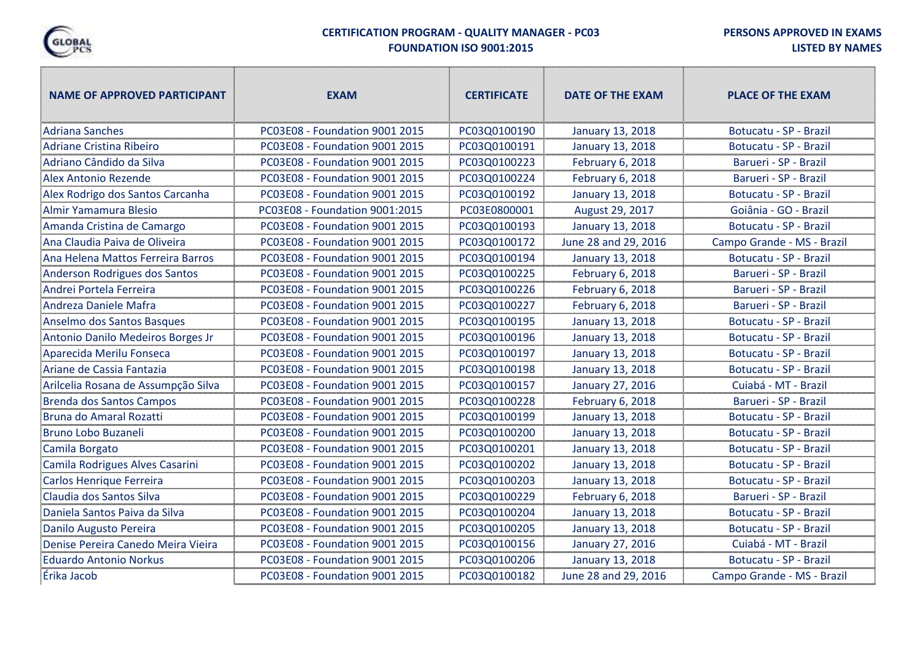

## **CERTIFICATION PROGRAM - QUALITY MANAGER - PC03 FOUNDATION ISO 9001:2015**

""!"

**PERSONS APPROVED IN EXAMS**

**LISTED BY NAMES**

| <b>NAME OF APPROVED PARTICIPANT</b> | <b>EXAM</b>                    | <b>CERTIFICATE</b> | <b>DATE OF THE EXAM</b> | <b>PLACE OF THE EXAM</b>   |
|-------------------------------------|--------------------------------|--------------------|-------------------------|----------------------------|
| <b>Adriana Sanches</b>              | PC03E08 - Foundation 9001 2015 | PC03Q0100190       | January 13, 2018        | Botucatu - SP - Brazil     |
| Adriane Cristina Ribeiro            | PC03E08 - Foundation 9001 2015 | PC03Q0100191       | January 13, 2018        | Botucatu - SP - Brazil     |
| Adriano Cândido da Silva            | PC03E08 - Foundation 9001 2015 | PC03Q0100223       | February 6, 2018        | Barueri - SP - Brazil      |
| <b>Alex Antonio Rezende</b>         | PC03E08 - Foundation 9001 2015 | PC03Q0100224       | February 6, 2018        | Barueri - SP - Brazil      |
| Alex Rodrigo dos Santos Carcanha    | PC03E08 - Foundation 9001 2015 | PC03Q0100192       | January 13, 2018        | Botucatu - SP - Brazil     |
| Almir Yamamura Blesio               | PC03E08 - Foundation 9001:2015 | PC03E0800001       | August 29, 2017         | Goiânia - GO - Brazil      |
| Amanda Cristina de Camargo          | PC03E08 - Foundation 9001 2015 | PC03Q0100193       | January 13, 2018        | Botucatu - SP - Brazil     |
| Ana Claudia Paiva de Oliveira       | PC03E08 - Foundation 9001 2015 | PC03Q0100172       | June 28 and 29, 2016    | Campo Grande - MS - Brazil |
| Ana Helena Mattos Ferreira Barros   | PC03E08 - Foundation 9001 2015 | PC03Q0100194       | January 13, 2018        | Botucatu - SP - Brazil     |
| Anderson Rodrigues dos Santos       | PC03E08 - Foundation 9001 2015 | PC03Q0100225       | February 6, 2018        | Barueri - SP - Brazil      |
| Andrei Portela Ferreira             | PC03E08 - Foundation 9001 2015 | PC03Q0100226       | February 6, 2018        | Barueri - SP - Brazil      |
| Andreza Daniele Mafra               | PC03E08 - Foundation 9001 2015 | PC03Q0100227       | February 6, 2018        | Barueri - SP - Brazil      |
| Anselmo dos Santos Basques          | PC03E08 - Foundation 9001 2015 | PC03Q0100195       | January 13, 2018        | Botucatu - SP - Brazil     |
| Antonio Danilo Medeiros Borges Jr   | PC03E08 - Foundation 9001 2015 | PC03Q0100196       | January 13, 2018        | Botucatu - SP - Brazil     |
| Aparecida Merilu Fonseca            | PC03E08 - Foundation 9001 2015 | PC03Q0100197       | January 13, 2018        | Botucatu - SP - Brazil     |
| Ariane de Cassia Fantazia           | PC03E08 - Foundation 9001 2015 | PC03Q0100198       | January 13, 2018        | Botucatu - SP - Brazil     |
| Arilcelia Rosana de Assumpção Silva | PC03E08 - Foundation 9001 2015 | PC03Q0100157       | January 27, 2016        | Cuiabá - MT - Brazil       |
| <b>Brenda dos Santos Campos</b>     | PC03E08 - Foundation 9001 2015 | PC03Q0100228       | February 6, 2018        | Barueri - SP - Brazil      |
| Bruna do Amaral Rozatti             | PC03E08 - Foundation 9001 2015 | PC03Q0100199       | January 13, 2018        | Botucatu - SP - Brazil     |
| <b>Bruno Lobo Buzaneli</b>          | PC03E08 - Foundation 9001 2015 | PC03Q0100200       | January 13, 2018        | Botucatu - SP - Brazil     |
| Camila Borgato                      | PC03E08 - Foundation 9001 2015 | PC03Q0100201       | January 13, 2018        | Botucatu - SP - Brazil     |
| Camila Rodrigues Alves Casarini     | PC03E08 - Foundation 9001 2015 | PC03Q0100202       | January 13, 2018        | Botucatu - SP - Brazil     |
| Carlos Henrique Ferreira            | PC03E08 - Foundation 9001 2015 | PC03Q0100203       | January 13, 2018        | Botucatu - SP - Brazil     |
| Claudia dos Santos Silva            | PC03E08 - Foundation 9001 2015 | PC03Q0100229       | February 6, 2018        | Barueri - SP - Brazil      |
| Daniela Santos Paiva da Silva       | PC03E08 - Foundation 9001 2015 | PC03Q0100204       | January 13, 2018        | Botucatu - SP - Brazil     |
| Danilo Augusto Pereira              | PC03E08 - Foundation 9001 2015 | PC03Q0100205       | January 13, 2018        | Botucatu - SP - Brazil     |
| Denise Pereira Canedo Meira Vieira  | PC03E08 - Foundation 9001 2015 | PC03Q0100156       | January 27, 2016        | Cuiabá - MT - Brazil       |
| <b>Eduardo Antonio Norkus</b>       | PC03E08 - Foundation 9001 2015 | PC03Q0100206       | January 13, 2018        | Botucatu - SP - Brazil     |
| Érika Jacob                         | PC03E08 - Foundation 9001 2015 | PC03Q0100182       | June 28 and 29, 2016    | Campo Grande - MS - Brazil |